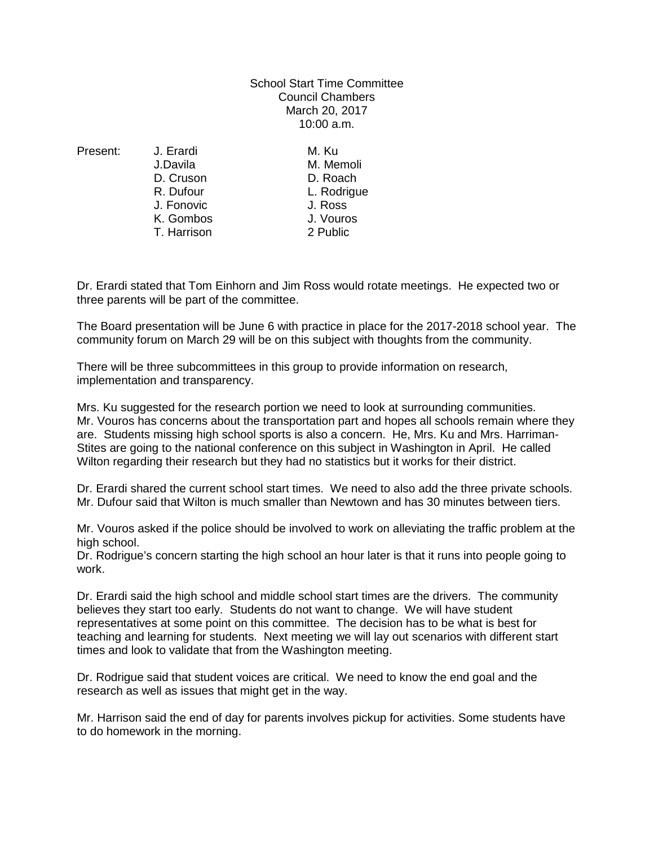School Start Time Committee Council Chambers March 20, 2017 10:00 a.m.

Present: J. Erardi M. Ku

J.Davila M. Memoli D. Cruson D. Roach J. Fonovic<br>K. Gombos T. Harrison 2 Public

L. Rodrigue<br>J. Ross K. Gombos J. Vouros

Dr. Erardi stated that Tom Einhorn and Jim Ross would rotate meetings. He expected two or three parents will be part of the committee.

The Board presentation will be June 6 with practice in place for the 2017-2018 school year. The community forum on March 29 will be on this subject with thoughts from the community.

There will be three subcommittees in this group to provide information on research, implementation and transparency.

Mrs. Ku suggested for the research portion we need to look at surrounding communities. Mr. Vouros has concerns about the transportation part and hopes all schools remain where they are. Students missing high school sports is also a concern. He, Mrs. Ku and Mrs. Harriman-Stites are going to the national conference on this subject in Washington in April. He called Wilton regarding their research but they had no statistics but it works for their district.

Dr. Erardi shared the current school start times. We need to also add the three private schools. Mr. Dufour said that Wilton is much smaller than Newtown and has 30 minutes between tiers.

Mr. Vouros asked if the police should be involved to work on alleviating the traffic problem at the high school.

Dr. Rodrigue's concern starting the high school an hour later is that it runs into people going to work.

Dr. Erardi said the high school and middle school start times are the drivers. The community believes they start too early. Students do not want to change. We will have student representatives at some point on this committee. The decision has to be what is best for teaching and learning for students. Next meeting we will lay out scenarios with different start times and look to validate that from the Washington meeting.

Dr. Rodrigue said that student voices are critical. We need to know the end goal and the research as well as issues that might get in the way.

Mr. Harrison said the end of day for parents involves pickup for activities. Some students have to do homework in the morning.